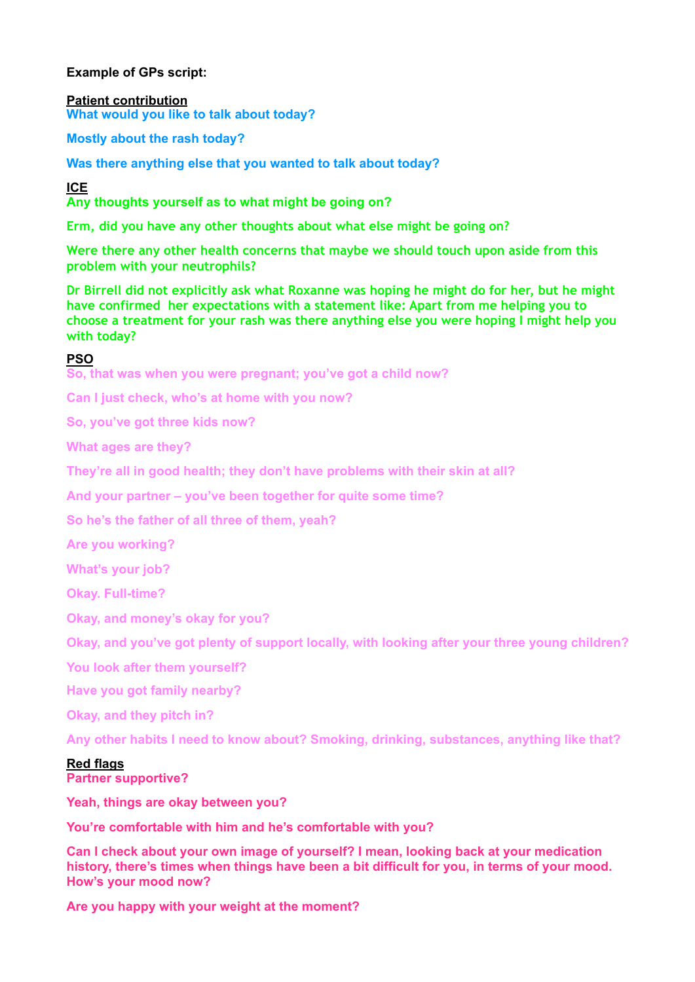# **Example of GPs script:**

**Patient contribution What would you like to talk about today?** 

**Mostly about the rash today?** 

**Was there anything else that you wanted to talk about today?**

**ICE** 

**Any thoughts yourself as to what might be going on?**

**Erm, did you have any other thoughts about what else might be going on?** 

**Were there any other health concerns that maybe we should touch upon aside from this problem with your neutrophils?** 

**Dr Birrell did not explicitly ask what Roxanne was hoping he might do for her, but he might have confirmed her expectations with a statement like: Apart from me helping you to choose a treatment for your rash was there anything else you were hoping I might help you with today?**

# **PSO**

**So, that was when you were pregnant; you've got a child now?** 

**Can I just check, who's at home with you now?** 

**So, you've got three kids now?** 

**What ages are they?** 

**They're all in good health; they don't have problems with their skin at all?** 

**And your partner – you've been together for quite some time?** 

**So he's the father of all three of them, yeah?** 

**Are you working?** 

**What's your job?** 

**Okay. Full-time?** 

**Okay, and money's okay for you?** 

**Okay, and you've got plenty of support locally, with looking after your three young children?** 

**You look after them yourself?** 

**Have you got family nearby?** 

**Okay, and they pitch in?** 

**Any other habits I need to know about? Smoking, drinking, substances, anything like that?** 

#### **Red flags**

**Partner supportive?** 

**Yeah, things are okay between you?** 

**You're comfortable with him and he's comfortable with you?** 

**Can I check about your own image of yourself? I mean, looking back at your medication history, there's times when things have been a bit difficult for you, in terms of your mood. How's your mood now?** 

**Are you happy with your weight at the moment?**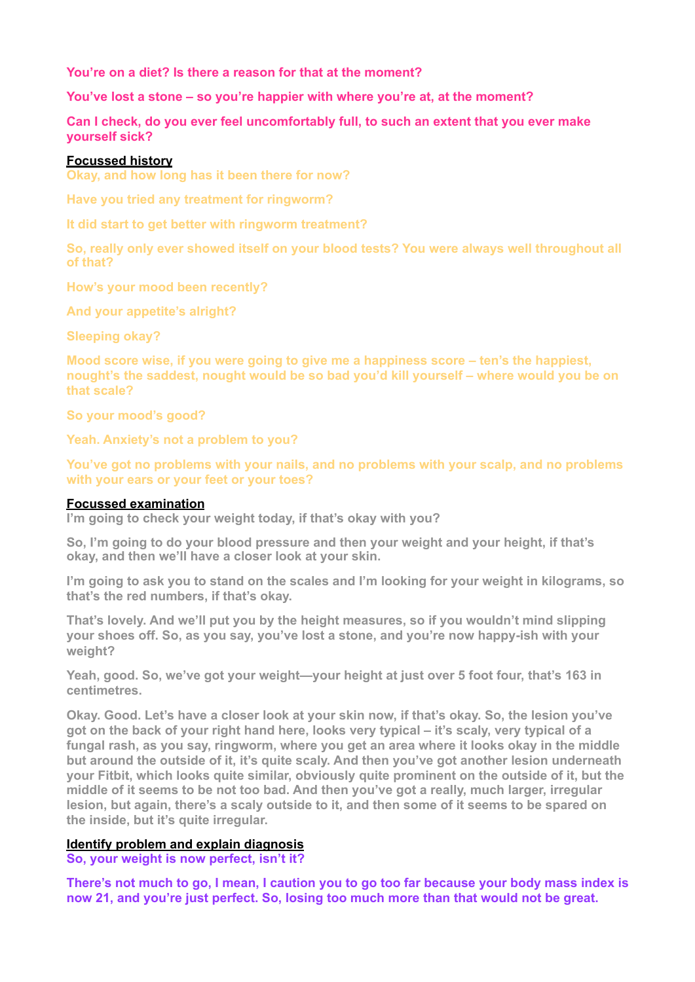**You're on a diet? Is there a reason for that at the moment?** 

**You've lost a stone – so you're happier with where you're at, at the moment?** 

**Can I check, do you ever feel uncomfortably full, to such an extent that you ever make yourself sick?** 

### **Focussed history**

**Okay, and how long has it been there for now?** 

**Have you tried any treatment for ringworm?** 

**It did start to get better with ringworm treatment?** 

**So, really only ever showed itself on your blood tests? You were always well throughout all of that?**

**How's your mood been recently?** 

**And your appetite's alright?** 

**Sleeping okay?** 

**Mood score wise, if you were going to give me a happiness score – ten's the happiest, nought's the saddest, nought would be so bad you'd kill yourself – where would you be on that scale?** 

**So your mood's good?** 

**Yeah. Anxiety's not a problem to you?** 

**You've got no problems with your nails, and no problems with your scalp, and no problems with your ears or your feet or your toes?**

#### **Focussed examination**

**I'm going to check your weight today, if that's okay with you?**

**So, I'm going to do your blood pressure and then your weight and your height, if that's okay, and then we'll have a closer look at your skin.** 

**I'm going to ask you to stand on the scales and I'm looking for your weight in kilograms, so that's the red numbers, if that's okay.** 

**That's lovely. And we'll put you by the height measures, so if you wouldn't mind slipping your shoes off. So, as you say, you've lost a stone, and you're now happy-ish with your weight?** 

**Yeah, good. So, we've got your weight—your height at just over 5 foot four, that's 163 in centimetres.**

**Okay. Good. Let's have a closer look at your skin now, if that's okay. So, the lesion you've got on the back of your right hand here, looks very typical – it's scaly, very typical of a fungal rash, as you say, ringworm, where you get an area where it looks okay in the middle but around the outside of it, it's quite scaly. And then you've got another lesion underneath your Fitbit, which looks quite similar, obviously quite prominent on the outside of it, but the middle of it seems to be not too bad. And then you've got a really, much larger, irregular lesion, but again, there's a scaly outside to it, and then some of it seems to be spared on the inside, but it's quite irregular.** 

# **Identify problem and explain diagnosis**

**So, your weight is now perfect, isn't it?** 

**There's not much to go, I mean, I caution you to go too far because your body mass index is now 21, and you're just perfect. So, losing too much more than that would not be great.**